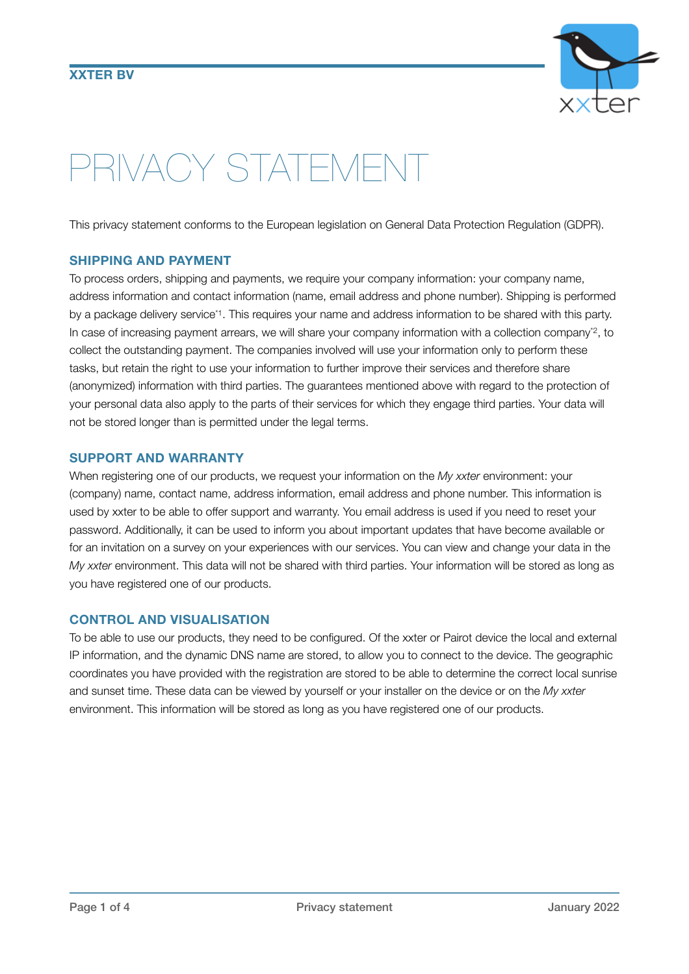

# PRIVACY STATEMENT

This privacy statement conforms to the European legislation on General Data Protection Regulation (GDPR).

#### **SHIPPING AND PAYMENT**

To process orders, shipping and payments, we require your company information: your company name, address information and contact information (name, email address and phone number). Shipping is performed by a package delivery service\*1. This requires your name and address information to be shared with this party. In case of increasing payment arrears, we will share your company information with a collection company<sup>+2</sup>, to collect the outstanding payment. The companies involved will use your information only to perform these tasks, but retain the right to use your information to further improve their services and therefore share (anonymized) information with third parties. The guarantees mentioned above with regard to the protection of your personal data also apply to the parts of their services for which they engage third parties. Your data will not be stored longer than is permitted under the legal terms.

#### **SUPPORT AND WARRANTY**

When registering one of our products, we request your information on the *My xxter* environment: your (company) name, contact name, address information, email address and phone number. This information is used by xxter to be able to offer support and warranty. You email address is used if you need to reset your password. Additionally, it can be used to inform you about important updates that have become available or for an invitation on a survey on your experiences with our services. You can view and change your data in the *My xxter* environment. This data will not be shared with third parties. Your information will be stored as long as you have registered one of our products.

## **CONTROL AND VISUALISATION**

To be able to use our products, they need to be configured. Of the xxter or Pairot device the local and external IP information, and the dynamic DNS name are stored, to allow you to connect to the device. The geographic coordinates you have provided with the registration are stored to be able to determine the correct local sunrise and sunset time. These data can be viewed by yourself or your installer on the device or on the *My xxter* environment. This information will be stored as long as you have registered one of our products.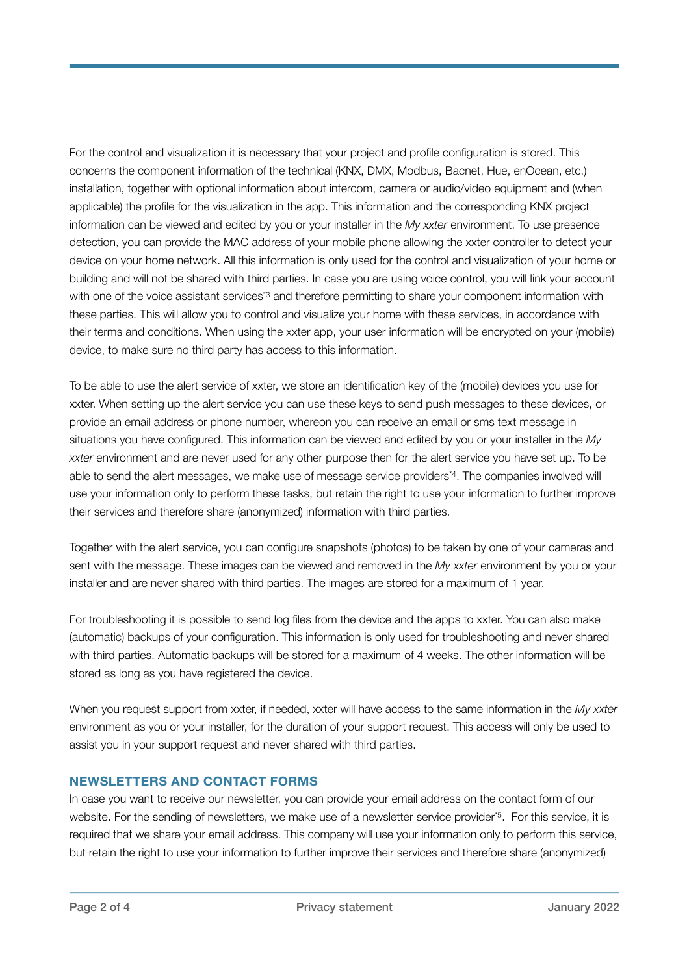For the control and visualization it is necessary that your project and profile configuration is stored. This concerns the component information of the technical (KNX, DMX, Modbus, Bacnet, Hue, enOcean, etc.) installation, together with optional information about intercom, camera or audio/video equipment and (when applicable) the profile for the visualization in the app. This information and the corresponding KNX project information can be viewed and edited by you or your installer in the *My xxter* environment. To use presence detection, you can provide the MAC address of your mobile phone allowing the xxter controller to detect your device on your home network. All this information is only used for the control and visualization of your home or building and will not be shared with third parties. In case you are using voice control, you will link your account with one of the voice assistant services<sup>\*3</sup> and therefore permitting to share your component information with these parties. This will allow you to control and visualize your home with these services, in accordance with their terms and conditions. When using the xxter app, your user information will be encrypted on your (mobile) device, to make sure no third party has access to this information.

To be able to use the alert service of xxter, we store an identification key of the (mobile) devices you use for xxter. When setting up the alert service you can use these keys to send push messages to these devices, or provide an email address or phone number, whereon you can receive an email or sms text message in situations you have configured. This information can be viewed and edited by you or your installer in the *My xxter* environment and are never used for any other purpose then for the alert service you have set up. To be able to send the alert messages, we make use of message service providers\*4. The companies involved will use your information only to perform these tasks, but retain the right to use your information to further improve their services and therefore share (anonymized) information with third parties.

Together with the alert service, you can configure snapshots (photos) to be taken by one of your cameras and sent with the message. These images can be viewed and removed in the *My xxter* environment by you or your installer and are never shared with third parties. The images are stored for a maximum of 1 year.

For troubleshooting it is possible to send log files from the device and the apps to xxter. You can also make (automatic) backups of your configuration. This information is only used for troubleshooting and never shared with third parties. Automatic backups will be stored for a maximum of 4 weeks. The other information will be stored as long as you have registered the device.

When you request support from xxter, if needed, xxter will have access to the same information in the *My xxter* environment as you or your installer, for the duration of your support request. This access will only be used to assist you in your support request and never shared with third parties.

## **NEWSLETTERS AND CONTACT FORMS**

In case you want to receive our newsletter, you can provide your email address on the contact form of our website. For the sending of newsletters, we make use of a newsletter service provider\*5. For this service, it is required that we share your email address. This company will use your information only to perform this service, but retain the right to use your information to further improve their services and therefore share (anonymized)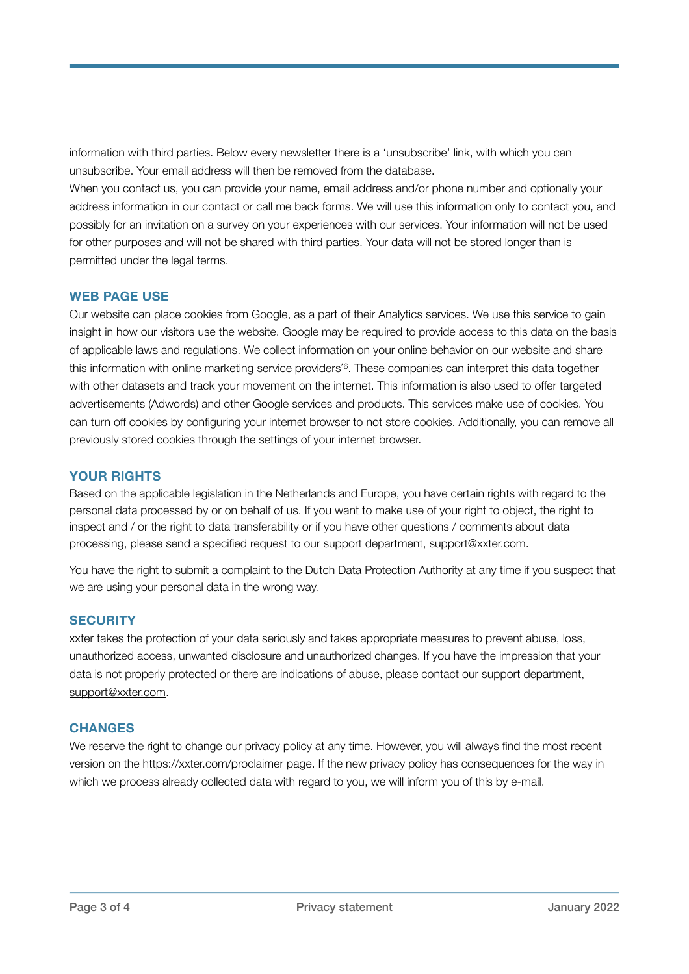information with third parties. Below every newsletter there is a 'unsubscribe' link, with which you can unsubscribe. Your email address will then be removed from the database.

When you contact us, you can provide your name, email address and/or phone number and optionally your address information in our contact or call me back forms. We will use this information only to contact you, and possibly for an invitation on a survey on your experiences with our services. Your information will not be used for other purposes and will not be shared with third parties. Your data will not be stored longer than is permitted under the legal terms.

# **WEB PAGE USE**

Our website can place cookies from Google, as a part of their Analytics services. We use this service to gain insight in how our visitors use the website. Google may be required to provide access to this data on the basis of applicable laws and regulations. We collect information on your online behavior on our website and share this information with online marketing service providers\*6. These companies can interpret this data together with other datasets and track your movement on the internet. This information is also used to offer targeted advertisements (Adwords) and other Google services and products. This services make use of cookies. You can turn off cookies by configuring your internet browser to not store cookies. Additionally, you can remove all previously stored cookies through the settings of your internet browser.

# **YOUR RIGHTS**

Based on the applicable legislation in the Netherlands and Europe, you have certain rights with regard to the personal data processed by or on behalf of us. If you want to make use of your right to object, the right to inspect and / or the right to data transferability or if you have other questions / comments about data processing, please send a specified request to our support department, [support@xxter.com](mailto:support@xxter.com).

You have the right to submit a complaint to the Dutch Data Protection Authority at any time if you suspect that we are using your personal data in the wrong way.

## **SECURITY**

xxter takes the protection of your data seriously and takes appropriate measures to prevent abuse, loss, unauthorized access, unwanted disclosure and unauthorized changes. If you have the impression that your data is not properly protected or there are indications of abuse, please contact our support department, [support@xxter.com](mailto:support@xxter.com).

## **CHANGES**

We reserve the right to change our privacy policy at any time. However, you will always find the most recent version on the<https://xxter.com/proclaimer>page. If the new privacy policy has consequences for the way in which we process already collected data with regard to you, we will inform you of this by e-mail.